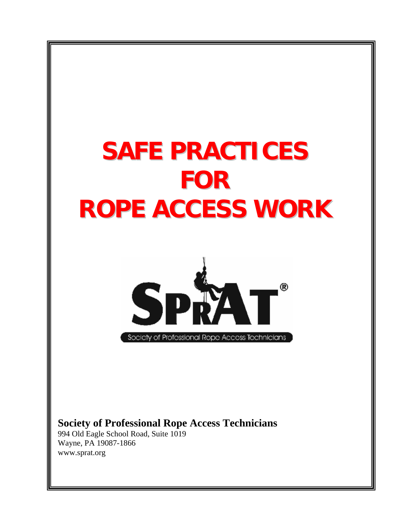# **SAFE PRACTICES FOR ROPE ACCESS WORK**



Society of Professional Rope Access Technicians

**Society of Professional Rope Access Technicians**

994 Old Eagle School Road, Suite 1019 Wayne, PA 19087-1866 www.sprat.org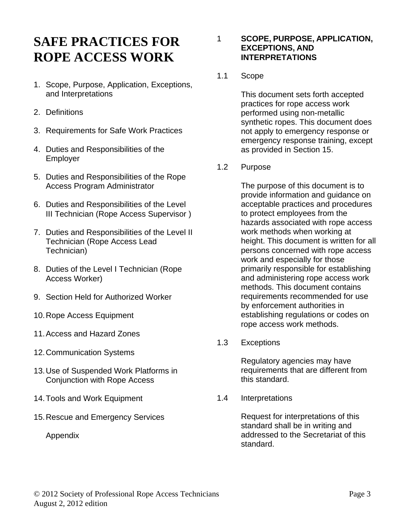## **SAFE PRACTICES FOR ROPE ACCESS WORK**

- 1. Scope, Purpose, Application, Exceptions, and Interpretations
- 2. Definitions
- 3. Requirements for Safe Work Practices
- 4. Duties and Responsibilities of the Employer
- 5. Duties and Responsibilities of the Rope Access Program Administrator
- 6. Duties and Responsibilities of the Level III Technician (Rope Access Supervisor )
- 7. Duties and Responsibilities of the Level II Technician (Rope Access Lead Technician)
- 8. Duties of the Level I Technician (Rope Access Worker)
- 9. Section Held for Authorized Worker
- 10.Rope Access Equipment
- 11.Access and Hazard Zones
- 12.Communication Systems
- 13.Use of Suspended Work Platforms in Conjunction with Rope Access
- 14.Tools and Work Equipment
- 15.Rescue and Emergency Services

Appendix

#### 1 **SCOPE, PURPOSE, APPLICATION, EXCEPTIONS, AND INTERPRETATIONS**

1.1 Scope

This document sets forth accepted practices for rope access work performed using non-metallic synthetic ropes. This document does not apply to emergency response or emergency response training, except as provided in Section 15.

1.2 Purpose

The purpose of this document is to provide information and guidance on acceptable practices and procedures to protect employees from the hazards associated with rope access work methods when working at height. This document is written for all persons concerned with rope access work and especially for those primarily responsible for establishing and administering rope access work methods. This document contains requirements recommended for use by enforcement authorities in establishing regulations or codes on rope access work methods.

1.3 Exceptions

Regulatory agencies may have requirements that are different from this standard.

1.4 Interpretations

Request for interpretations of this standard shall be in writing and addressed to the Secretariat of this standard.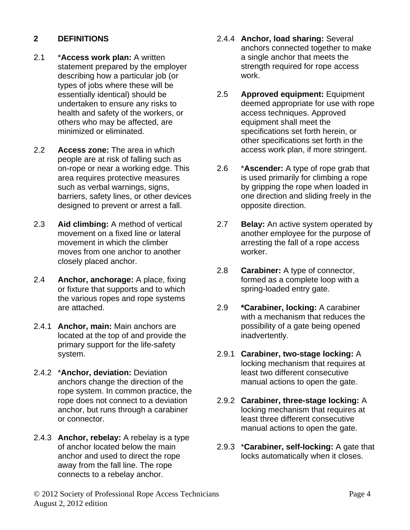#### **2 DEFINITIONS**

- 2.1 \***Access work plan:** A written statement prepared by the employer describing how a particular job (or types of jobs where these will be essentially identical) should be undertaken to ensure any risks to health and safety of the workers, or others who may be affected, are minimized or eliminated.
- 2.2 **Access zone:** The area in which people are at risk of falling such as on-rope or near a working edge. This area requires protective measures such as verbal warnings, signs, barriers, safety lines, or other devices designed to prevent or arrest a fall.
- 2.3 **Aid climbing:** A method of vertical movement on a fixed line or lateral movement in which the climber moves from one anchor to another closely placed anchor.
- 2.4 **Anchor, anchorage:** A place, fixing or fixture that supports and to which the various ropes and rope systems are attached.
- 2.4.1 **Anchor, main:** Main anchors are located at the top of and provide the primary support for the life-safety system.
- 2.4.2 \***Anchor, deviation:** Deviation anchors change the direction of the rope system. In common practice, the rope does not connect to a deviation anchor, but runs through a carabiner or connector.
- 2.4.3 **Anchor, rebelay:** A rebelay is a type of anchor located below the main anchor and used to direct the rope away from the fall line. The rope connects to a rebelay anchor.
- 2.4.4 **Anchor, load sharing:** Several anchors connected together to make a single anchor that meets the strength required for rope access work.
- 2.5 **Approved equipment:** Equipment deemed appropriate for use with rope access techniques. Approved equipment shall meet the specifications set forth herein, or other specifications set forth in the access work plan, if more stringent.
- 2.6 \***Ascender:** A type of rope grab that is used primarily for climbing a rope by gripping the rope when loaded in one direction and sliding freely in the opposite direction.
- 2.7 **Belay:** An active system operated by another employee for the purpose of arresting the fall of a rope access worker.
- 2.8 **Carabiner:** A type of connector, formed as a complete loop with a spring-loaded entry gate.
- 2.9 **\*Carabiner, locking:** A carabiner with a mechanism that reduces the possibility of a gate being opened inadvertently.
- 2.9.1 **Carabiner, two-stage locking:** A locking mechanism that requires at least two different consecutive manual actions to open the gate.
- 2.9.2 **Carabiner, three-stage locking:** A locking mechanism that requires at least three different consecutive manual actions to open the gate.
- 2.9.3 \***Carabiner, self-locking:** A gate that locks automatically when it closes.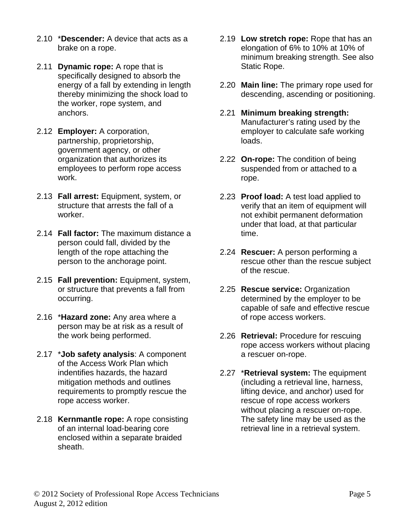- 2.10 \***Descender:** A device that acts as a brake on a rope.
- 2.11 **Dynamic rope:** A rope that is specifically designed to absorb the energy of a fall by extending in length thereby minimizing the shock load to the worker, rope system, and anchors.
- 2.12 **Employer:** A corporation, partnership, proprietorship, government agency, or other organization that authorizes its employees to perform rope access work.
- 2.13 **Fall arrest:** Equipment, system, or structure that arrests the fall of a worker.
- 2.14 **Fall factor:** The maximum distance a person could fall, divided by the length of the rope attaching the person to the anchorage point.
- 2.15 **Fall prevention:** Equipment, system, or structure that prevents a fall from occurring.
- 2.16 \***Hazard zone:** Any area where a person may be at risk as a result of the work being performed.
- 2.17 \***Job safety analysis**: A component of the Access Work Plan which indentifies hazards, the hazard mitigation methods and outlines requirements to promptly rescue the rope access worker.
- 2.18 **Kernmantle rope:** A rope consisting of an internal load-bearing core enclosed within a separate braided sheath.
- 2.19 **Low stretch rope:** Rope that has an elongation of 6% to 10% at 10% of minimum breaking strength. See also Static Rope.
- 2.20 **Main line:** The primary rope used for descending, ascending or positioning.
- 2.21 **Minimum breaking strength:** Manufacturer's rating used by the employer to calculate safe working loads.
- 2.22 **On-rope:** The condition of being suspended from or attached to a rope.
- 2.23 **Proof load:** A test load applied to verify that an item of equipment will not exhibit permanent deformation under that load, at that particular time.
- 2.24 **Rescuer:** A person performing a rescue other than the rescue subject of the rescue.
- 2.25 **Rescue service:** Organization determined by the employer to be capable of safe and effective rescue of rope access workers.
- 2.26 **Retrieval:** Procedure for rescuing rope access workers without placing a rescuer on-rope.
- 2.27 \***Retrieval system:** The equipment (including a retrieval line, harness, lifting device, and anchor) used for rescue of rope access workers without placing a rescuer on-rope. The safety line may be used as the retrieval line in a retrieval system.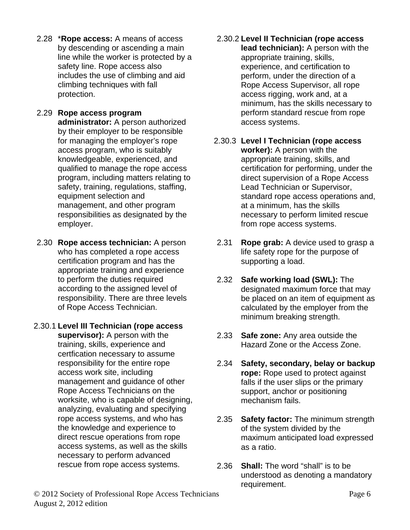- 2.28 \***Rope access:** A means of access by descending or ascending a main line while the worker is protected by a safety line. Rope access also includes the use of climbing and aid climbing techniques with fall protection.
- 2.29 **Rope access program administrator:** A person authorized by their employer to be responsible for managing the employer's rope access program, who is suitably knowledgeable, experienced, and qualified to manage the rope access program, including matters relating to safety, training, regulations, staffing, equipment selection and management, and other program responsibilities as designated by the employer.
- 2.30 **Rope access technician:** A person who has completed a rope access certification program and has the appropriate training and experience to perform the duties required according to the assigned level of responsibility. There are three levels of Rope Access Technician.
- 2.30.1 **Level III Technician (rope access supervisor):** A person with the training, skills, experience and certfication necessary to assume responsibility for the entire rope access work site, including management and guidance of other Rope Access Technicians on the worksite, who is capable of designing, analyzing, evaluating and specifying rope access systems, and who has the knowledge and experience to direct rescue operations from rope access systems, as well as the skills necessary to perform advanced rescue from rope access systems.
- 2.30.2 **Level II Technician (rope access lead technician):** A person with the appropriate training, skills, experience, and certification to perform, under the direction of a Rope Access Supervisor, all rope access rigging, work and, at a minimum, has the skills necessary to perform standard rescue from rope access systems.
- 2.30.3 **Level I Technician (rope access worker):** A person with the appropriate training, skills, and certification for performing, under the direct supervision of a Rope Access Lead Technician or Supervisor, standard rope access operations and, at a minimum, has the skills necessary to perform limited rescue from rope access systems.
- 2.31 **Rope grab:** A device used to grasp a life safety rope for the purpose of supporting a load.
- 2.32 **Safe working load (SWL):** The designated maximum force that may be placed on an item of equipment as calculated by the employer from the minimum breaking strength.
- 2.33 **Safe zone:** Any area outside the Hazard Zone or the Access Zone.
- 2.34 **Safety, secondary, belay or backup rope:** Rope used to protect against falls if the user slips or the primary support, anchor or positioning mechanism fails.
- 2.35 **Safety factor:** The minimum strength of the system divided by the maximum anticipated load expressed as a ratio.
- 2.36 **Shall:** The word "shall" is to be understood as denoting a mandatory requirement.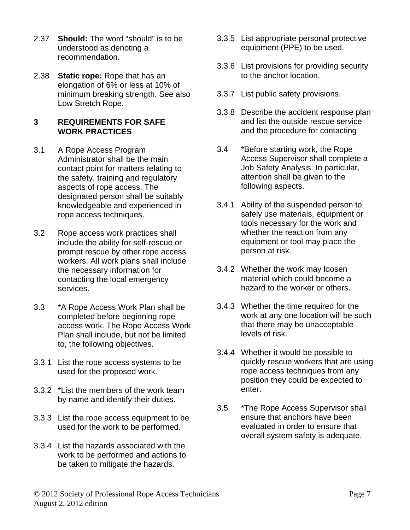- 2.37 **Should:** The word "should" is to be understood as denoting a recommendation.
- 2.38 **Static rope:** Rope that has an elongation of 6% or less at 10% of minimum breaking strength. See also Low Stretch Rope.

#### **3 REQUIREMENTS FOR SAFE WORK PRACTICES**

- 3.1 A Rope Access Program Administrator shall be the main contact point for matters relating to the safety, training and regulatory aspects of rope access. The designated person shall be suitably knowledgeable and experienced in rope access techniques.
- 3.2 Rope access work practices shall include the ability for self-rescue or prompt rescue by other rope access workers. All work plans shall include the necessary information for contacting the local emergency services.
- 3.3 \*A Rope Access Work Plan shall be completed before beginning rope access work. The Rope Access Work Plan shall include, but not be limited to, the following objectives.
- 3.3.1 List the rope access systems to be used for the proposed work.
- 3.3.2 \*List the members of the work team by name and identify their duties.
- 3.3.3 List the rope access equipment to be used for the work to be performed.
- 3.3.4 List the hazards associated with the work to be performed and actions to be taken to mitigate the hazards.
- 3.3.5 List appropriate personal protective equipment (PPE) to be used.
- 3.3.6 List provisions for providing security to the anchor location.
- 3.3.7 List public safety provisions.
- 3.3.8 Describe the accident response plan and list the outside rescue service and the procedure for contacting
- 3.4 \*Before starting work, the Rope Access Supervisor shall complete a Job Safety Analysis. In particular, attention shall be given to the following aspects.
- 3.4.1 Ability of the suspended person to safely use materials, equipment or tools necessary for the work and whether the reaction from any equipment or tool may place the person at risk.
- 3.4.2 Whether the work may loosen material which could become a hazard to the worker or others.
- 3.4.3 Whether the time required for the work at any one location will be such that there may be unacceptable levels of risk.
- 3.4.4 Whether it would be possible to quickly rescue workers that are using rope access techniques from any position they could be expected to enter.
- 3.5 \*The Rope Access Supervisor shall ensure that anchors have been evaluated in order to ensure that overall system safety is adequate.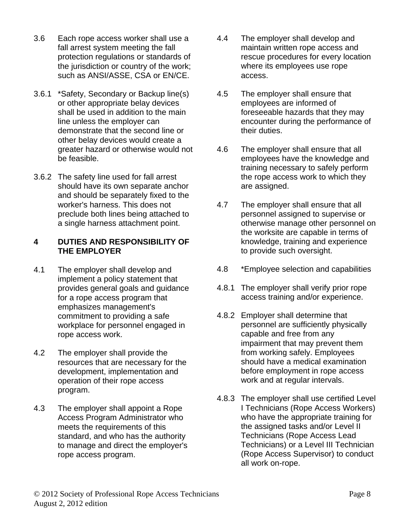- 3.6 Each rope access worker shall use a fall arrest system meeting the fall protection regulations or standards of the jurisdiction or country of the work; such as ANSI/ASSE, CSA or EN/CE.
- 3.6.1 \*Safety, Secondary or Backup line(s) or other appropriate belay devices shall be used in addition to the main line unless the employer can demonstrate that the second line or other belay devices would create a greater hazard or otherwise would not be feasible.
- 3.6.2 The safety line used for fall arrest should have its own separate anchor and should be separately fixed to the worker's harness. This does not preclude both lines being attached to a single harness attachment point.

#### **4 DUTIES AND RESPONSIBILITY OF THE EMPLOYER**

- 4.1 The employer shall develop and implement a policy statement that provides general goals and guidance for a rope access program that emphasizes management's commitment to providing a safe workplace for personnel engaged in rope access work.
- 4.2 The employer shall provide the resources that are necessary for the development, implementation and operation of their rope access program.
- 4.3 The employer shall appoint a Rope Access Program Administrator who meets the requirements of this standard, and who has the authority to manage and direct the employer's rope access program.
- 4.4 The employer shall develop and maintain written rope access and rescue procedures for every location where its employees use rope access.
- 4.5 The employer shall ensure that employees are informed of foreseeable hazards that they may encounter during the performance of their duties.
- 4.6 The employer shall ensure that all employees have the knowledge and training necessary to safely perform the rope access work to which they are assigned.
- 4.7 The employer shall ensure that all personnel assigned to supervise or otherwise manage other personnel on the worksite are capable in terms of knowledge, training and experience to provide such oversight.
- 4.8 \*Employee selection and capabilities
- 4.8.1 The employer shall verify prior rope access training and/or experience.
- 4.8.2 Employer shall determine that personnel are sufficiently physically capable and free from any impairment that may prevent them from working safely. Employees should have a medical examination before employment in rope access work and at regular intervals.
- 4.8.3 The employer shall use certified Level I Technicians (Rope Access Workers) who have the appropriate training for the assigned tasks and/or Level II Technicians (Rope Access Lead Technicians) or a Level III Technician (Rope Access Supervisor) to conduct all work on-rope.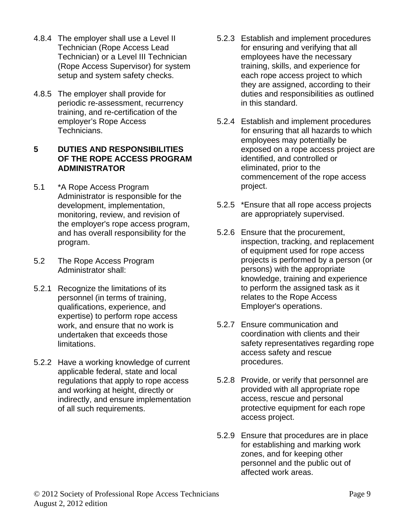- 4.8.4 The employer shall use a Level II Technician (Rope Access Lead Technician) or a Level III Technician (Rope Access Supervisor) for system setup and system safety checks.
- 4.8.5 The employer shall provide for periodic re-assessment, recurrency training, and re-certification of the employer's Rope Access Technicians.

#### **5 DUTIES AND RESPONSIBILITIES OF THE ROPE ACCESS PROGRAM ADMINISTRATOR**

- 5.1 \*A Rope Access Program Administrator is responsible for the development, implementation, monitoring, review, and revision of the employer's rope access program, and has overall responsibility for the program.
- 5.2 The Rope Access Program Administrator shall:
- 5.2.1 Recognize the limitations of its personnel (in terms of training, qualifications, experience, and expertise) to perform rope access work, and ensure that no work is undertaken that exceeds those limitations.
- 5.2.2 Have a working knowledge of current applicable federal, state and local regulations that apply to rope access and working at height, directly or indirectly, and ensure implementation of all such requirements.
- 5.2.3 Establish and implement procedures for ensuring and verifying that all employees have the necessary training, skills, and experience for each rope access project to which they are assigned, according to their duties and responsibilities as outlined in this standard.
- 5.2.4 Establish and implement procedures for ensuring that all hazards to which employees may potentially be exposed on a rope access project are identified, and controlled or eliminated, prior to the commencement of the rope access project.
- 5.2.5 \*Ensure that all rope access projects are appropriately supervised.
- 5.2.6 Ensure that the procurement, inspection, tracking, and replacement of equipment used for rope access projects is performed by a person (or persons) with the appropriate knowledge, training and experience to perform the assigned task as it relates to the Rope Access Employer's operations.
- 5.2.7 Ensure communication and coordination with clients and their safety representatives regarding rope access safety and rescue procedures.
- 5.2.8 Provide, or verify that personnel are provided with all appropriate rope access, rescue and personal protective equipment for each rope access project.
- 5.2.9 Ensure that procedures are in place for establishing and marking work zones, and for keeping other personnel and the public out of affected work areas.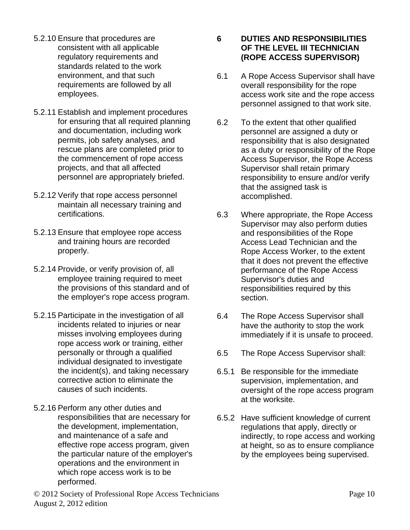- 5.2.10 Ensure that procedures are consistent with all applicable regulatory requirements and standards related to the work environment, and that such requirements are followed by all employees.
- 5.2.11 Establish and implement procedures for ensuring that all required planning and documentation, including work permits, job safety analyses, and rescue plans are completed prior to the commencement of rope access projects, and that all affected personnel are appropriately briefed.
- 5.2.12 Verify that rope access personnel maintain all necessary training and certifications.
- 5.2.13 Ensure that employee rope access and training hours are recorded properly.
- 5.2.14 Provide, or verify provision of, all employee training required to meet the provisions of this standard and of the employer's rope access program.
- 5.2.15 Participate in the investigation of all incidents related to injuries or near misses involving employees during rope access work or training, either personally or through a qualified individual designated to investigate the incident(s), and taking necessary corrective action to eliminate the causes of such incidents.
- 5.2.16 Perform any other duties and responsibilities that are necessary for the development, implementation, and maintenance of a safe and effective rope access program, given the particular nature of the employer's operations and the environment in which rope access work is to be performed.

#### **6 DUTIES AND RESPONSIBILITIES OF THE LEVEL III TECHNICIAN (ROPE ACCESS SUPERVISOR)**

- 6.1 A Rope Access Supervisor shall have overall responsibility for the rope access work site and the rope access personnel assigned to that work site.
- 6.2 To the extent that other qualified personnel are assigned a duty or responsibility that is also designated as a duty or responsibility of the Rope Access Supervisor, the Rope Access Supervisor shall retain primary responsibility to ensure and/or verify that the assigned task is accomplished.
- 6.3 Where appropriate, the Rope Access Supervisor may also perform duties and responsibilities of the Rope Access Lead Technician and the Rope Access Worker, to the extent that it does not prevent the effective performance of the Rope Access Supervisor's duties and responsibilities required by this section.
- 6.4 The Rope Access Supervisor shall have the authority to stop the work immediately if it is unsafe to proceed.
- 6.5 The Rope Access Supervisor shall:
- 6.5.1 Be responsible for the immediate supervision, implementation, and oversight of the rope access program at the worksite.
- 6.5.2 Have sufficient knowledge of current regulations that apply, directly or indirectly, to rope access and working at height, so as to ensure compliance by the employees being supervised.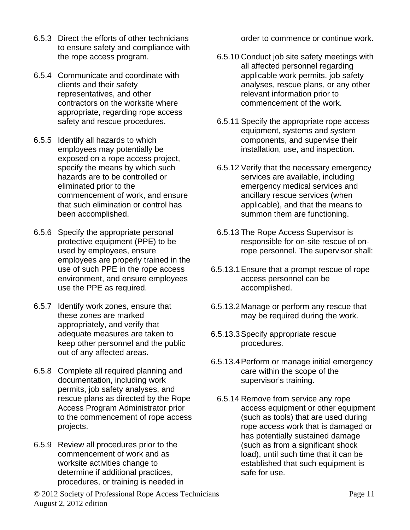- 6.5.3 Direct the efforts of other technicians to ensure safety and compliance with the rope access program.
- 6.5.4 Communicate and coordinate with clients and their safety representatives, and other contractors on the worksite where appropriate, regarding rope access safety and rescue procedures.
- 6.5.5 Identify all hazards to which employees may potentially be exposed on a rope access project, specify the means by which such hazards are to be controlled or eliminated prior to the commencement of work, and ensure that such elimination or control has been accomplished.
- 6.5.6 Specify the appropriate personal protective equipment (PPE) to be used by employees, ensure employees are properly trained in the use of such PPE in the rope access environment, and ensure employees use the PPE as required.
- 6.5.7 Identify work zones, ensure that these zones are marked appropriately, and verify that adequate measures are taken to keep other personnel and the public out of any affected areas.
- 6.5.8 Complete all required planning and documentation, including work permits, job safety analyses, and rescue plans as directed by the Rope Access Program Administrator prior to the commencement of rope access projects.
- 6.5.9 Review all procedures prior to the commencement of work and as worksite activities change to determine if additional practices, procedures, or training is needed in

order to commence or continue work.

- 6.5.10 Conduct job site safety meetings with all affected personnel regarding applicable work permits, job safety analyses, rescue plans, or any other relevant information prior to commencement of the work.
- 6.5.11 Specify the appropriate rope access equipment, systems and system components, and supervise their installation, use, and inspection.
- 6.5.12 Verify that the necessary emergency services are available, including emergency medical services and ancillary rescue services (when applicable), and that the means to summon them are functioning.
- 6.5.13 The Rope Access Supervisor is responsible for on-site rescue of onrope personnel. The supervisor shall:
- 6.5.13.1Ensure that a prompt rescue of rope access personnel can be accomplished.
- 6.5.13.2Manage or perform any rescue that may be required during the work.
- 6.5.13.3Specify appropriate rescue procedures.
- 6.5.13.4Perform or manage initial emergency care within the scope of the supervisor's training.
	- 6.5.14 Remove from service any rope access equipment or other equipment (such as tools) that are used during rope access work that is damaged or has potentially sustained damage (such as from a significant shock load), until such time that it can be established that such equipment is safe for use.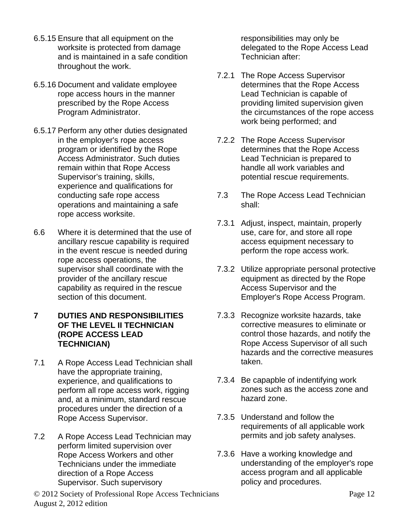- 6.5.15 Ensure that all equipment on the worksite is protected from damage and is maintained in a safe condition throughout the work.
- 6.5.16 Document and validate employee rope access hours in the manner prescribed by the Rope Access Program Administrator.
- 6.5.17 Perform any other duties designated in the employer's rope access program or identified by the Rope Access Administrator. Such duties remain within that Rope Access Supervisor's training, skills, experience and qualifications for conducting safe rope access operations and maintaining a safe rope access worksite.
- 6.6 Where it is determined that the use of ancillary rescue capability is required in the event rescue is needed during rope access operations, the supervisor shall coordinate with the provider of the ancillary rescue capability as required in the rescue section of this document.

#### **7 DUTIES AND RESPONSIBILITIES OF THE LEVEL II TECHNICIAN (ROPE ACCESS LEAD TECHNICIAN)**

- 7.1 A Rope Access Lead Technician shall have the appropriate training, experience, and qualifications to perform all rope access work, rigging and, at a minimum, standard rescue procedures under the direction of a Rope Access Supervisor.
- 7.2 A Rope Access Lead Technician may perform limited supervision over Rope Access Workers and other Technicians under the immediate direction of a Rope Access Supervisor. Such supervisory

© 2012 Society of Professional Rope Access Technicians Page 12 August 2, 2012 edition

responsibilities may only be delegated to the Rope Access Lead Technician after:

- 7.2.1 The Rope Access Supervisor determines that the Rope Access Lead Technician is capable of providing limited supervision given the circumstances of the rope access work being performed; and
- 7.2.2 The Rope Access Supervisor determines that the Rope Access Lead Technician is prepared to handle all work variables and potential rescue requirements.
- 7.3 The Rope Access Lead Technician shall:
- 7.3.1 Adjust, inspect, maintain, properly use, care for, and store all rope access equipment necessary to perform the rope access work.
- 7.3.2 Utilize appropriate personal protective equipment as directed by the Rope Access Supervisor and the Employer's Rope Access Program.
- 7.3.3 Recognize worksite hazards, take corrective measures to eliminate or control those hazards, and notify the Rope Access Supervisor of all such hazards and the corrective measures taken.
- 7.3.4 Be capapble of indentifying work zones such as the access zone and hazard zone.
- 7.3.5 Understand and follow the requirements of all applicable work permits and job safety analyses.
- 7.3.6 Have a working knowledge and understanding of the employer's rope access program and all applicable policy and procedures.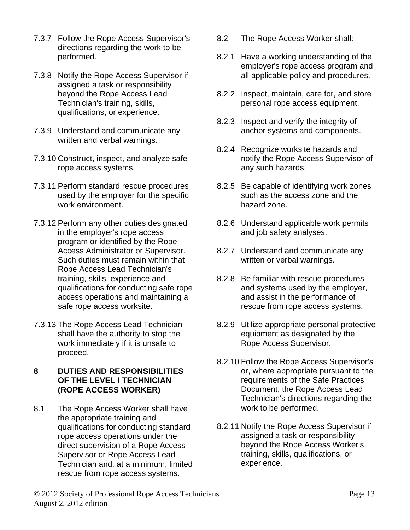- 7.3.7 Follow the Rope Access Supervisor's directions regarding the work to be performed.
- 7.3.8 Notify the Rope Access Supervisor if assigned a task or responsibility beyond the Rope Access Lead Technician's training, skills, qualifications, or experience.
- 7.3.9 Understand and communicate any written and verbal warnings.
- 7.3.10 Construct, inspect, and analyze safe rope access systems.
- 7.3.11 Perform standard rescue procedures used by the employer for the specific work environment.
- 7.3.12 Perform any other duties designated in the employer's rope access program or identified by the Rope Access Administrator or Supervisor. Such duties must remain within that Rope Access Lead Technician's training, skills, experience and qualifications for conducting safe rope access operations and maintaining a safe rope access worksite.
- 7.3.13 The Rope Access Lead Technician shall have the authority to stop the work immediately if it is unsafe to proceed.
- **8 DUTIES AND RESPONSIBILITIES OF THE LEVEL I TECHNICIAN (ROPE ACCESS WORKER)**
- 8.1 The Rope Access Worker shall have the appropriate training and qualifications for conducting standard rope access operations under the direct supervision of a Rope Access Supervisor or Rope Access Lead Technician and, at a minimum, limited rescue from rope access systems.
- 8.2 The Rope Access Worker shall:
- 8.2.1 Have a working understanding of the employer's rope access program and all applicable policy and procedures.
- 8.2.2 Inspect, maintain, care for, and store personal rope access equipment.
- 8.2.3 Inspect and verify the integrity of anchor systems and components.
- 8.2.4 Recognize worksite hazards and notify the Rope Access Supervisor of any such hazards.
- 8.2.5 Be capable of identifying work zones such as the access zone and the hazard zone.
- 8.2.6 Understand applicable work permits and job safety analyses.
- 8.2.7 Understand and communicate any written or verbal warnings.
- 8.2.8 Be familiar with rescue procedures and systems used by the employer, and assist in the performance of rescue from rope access systems.
- 8.2.9 Utilize appropriate personal protective equipment as designated by the Rope Access Supervisor.
- 8.2.10 Follow the Rope Access Supervisor's or, where appropriate pursuant to the requirements of the Safe Practices Document, the Rope Access Lead Technician's directions regarding the work to be performed.
- 8.2.11 Notify the Rope Access Supervisor if assigned a task or responsibility beyond the Rope Access Worker's training, skills, qualifications, or experience.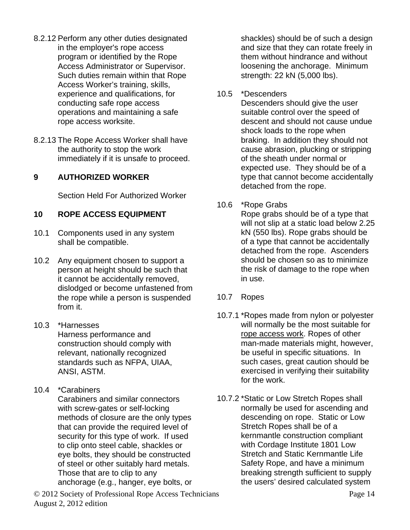- 8.2.12 Perform any other duties designated in the employer's rope access program or identified by the Rope Access Administrator or Supervisor. Such duties remain within that Rope Access Worker's training, skills, experience and qualifications, for conducting safe rope access operations and maintaining a safe rope access worksite.
- 8.2.13 The Rope Access Worker shall have the authority to stop the work immediately if it is unsafe to proceed.

#### **9 AUTHORIZED WORKER**

Section Held For Authorized Worker

#### **10 ROPE ACCESS EQUIPMENT**

- 10.1 Components used in any system shall be compatible.
- 10.2 Any equipment chosen to support a person at height should be such that it cannot be accidentally removed, dislodged or become unfastened from the rope while a person is suspended from it.
- 10.3 \*Harnesses Harness performance and construction should comply with relevant, nationally recognized standards such as NFPA, UIAA, ANSI, ASTM.
- 10.4 \*Carabiners Carabiners and similar connectors with screw-gates or self-locking methods of closure are the only types that can provide the required level of security for this type of work. If used to clip onto steel cable, shackles or eye bolts, they should be constructed of steel or other suitably hard metals. Those that are to clip to any anchorage (e.g., hanger, eye bolts, or

© 2012 Society of Professional Rope Access Technicians Page 14 August 2, 2012 edition

shackles) should be of such a design and size that they can rotate freely in them without hindrance and without loosening the anchorage. Minimum strength: 22 kN (5,000 lbs).

#### 10.5 \*Descenders

Descenders should give the user suitable control over the speed of descent and should not cause undue shock loads to the rope when braking. In addition they should not cause abrasion, plucking or stripping of the sheath under normal or expected use. They should be of a type that cannot become accidentally detached from the rope.

#### 10.6 \*Rope Grabs

Rope grabs should be of a type that will not slip at a static load below 2.25 kN (550 lbs). Rope grabs should be of a type that cannot be accidentally detached from the rope. Ascenders should be chosen so as to minimize the risk of damage to the rope when in use.

#### 10.7 Ropes

- 10.7.1 \*Ropes made from nylon or polyester will normally be the most suitable for rope access work. Ropes of other man-made materials might, however, be useful in specific situations. In such cases, great caution should be exercised in verifying their suitability for the work.
- 10.7.2 \*Static or Low Stretch Ropes shall normally be used for ascending and descending on rope. Static or Low Stretch Ropes shall be of a kernmantle construction compliant with Cordage Institute 1801 Low Stretch and Static Kernmantle Life Safety Rope, and have a minimum breaking strength sufficient to supply the users' desired calculated system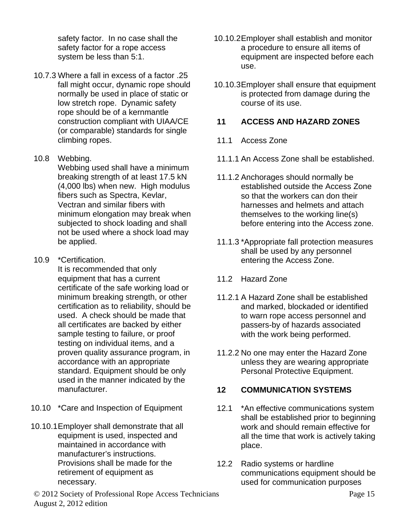safety factor. In no case shall the safety factor for a rope access system be less than 5:1.

10.7.3 Where a fall in excess of a factor .25 fall might occur, dynamic rope should normally be used in place of static or low stretch rope. Dynamic safety rope should be of a kernmantle construction compliant with UIAA/CE (or comparable) standards for single climbing ropes.

#### 10.8 Webbing.

Webbing used shall have a minimum breaking strength of at least 17.5 kN (4,000 lbs) when new. High modulus fibers such as Spectra, Kevlar, Vectran and similar fibers with minimum elongation may break when subjected to shock loading and shall not be used where a shock load may be applied.

10.9 \*Certification.

It is recommended that only equipment that has a current certificate of the safe working load or minimum breaking strength, or other certification as to reliability, should be used. A check should be made that all certificates are backed by either sample testing to failure, or proof testing on individual items, and a proven quality assurance program, in accordance with an appropriate standard. Equipment should be only used in the manner indicated by the manufacturer.

- 10.10 \*Care and Inspection of Equipment
- 10.10.1Employer shall demonstrate that all equipment is used, inspected and maintained in accordance with manufacturer's instructions. Provisions shall be made for the retirement of equipment as necessary.
- 10.10.2Employer shall establish and monitor a procedure to ensure all items of equipment are inspected before each use.
- 10.10.3Employer shall ensure that equipment is protected from damage during the course of its use.

#### **11 ACCESS AND HAZARD ZONES**

- 11.1 Access Zone
- 11.1.1 An Access Zone shall be established.
- 11.1.2 Anchorages should normally be established outside the Access Zone so that the workers can don their harnesses and helmets and attach themselves to the working line(s) before entering into the Access zone.
- 11.1.3 \*Appropriate fall protection measures shall be used by any personnel entering the Access Zone.
- 11.2 Hazard Zone
- 11.2.1 A Hazard Zone shall be established and marked, blockaded or identified to warn rope access personnel and passers-by of hazards associated with the work being performed.
- 11.2.2 No one may enter the Hazard Zone unless they are wearing appropriate Personal Protective Equipment.

#### **12 COMMUNICATION SYSTEMS**

- 12.1 \*An effective communications system shall be established prior to beginning work and should remain effective for all the time that work is actively taking place.
- 12.2 Radio systems or hardline communications equipment should be used for communication purposes

© 2012 Society of Professional Rope Access Technicians Page 15 August 2, 2012 edition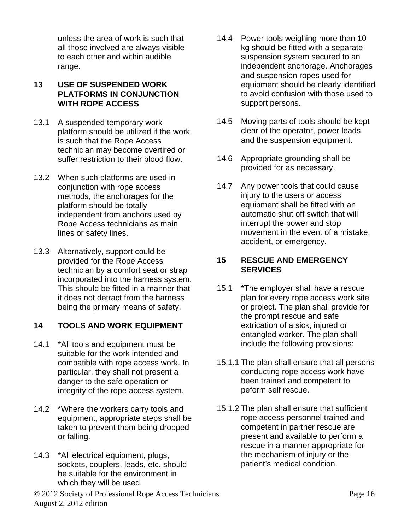unless the area of work is such that all those involved are always visible to each other and within audible range.

#### **13 USE OF SUSPENDED WORK PLATFORMS IN CONJUNCTION WITH ROPE ACCESS**

- 13.1 A suspended temporary work platform should be utilized if the work is such that the Rope Access technician may become overtired or suffer restriction to their blood flow.
- 13.2 When such platforms are used in conjunction with rope access methods, the anchorages for the platform should be totally independent from anchors used by Rope Access technicians as main lines or safety lines.
- 13.3 Alternatively, support could be provided for the Rope Access technician by a comfort seat or strap incorporated into the harness system. This should be fitted in a manner that it does not detract from the harness being the primary means of safety.

#### **14 TOOLS AND WORK EQUIPMENT**

- 14.1 \*All tools and equipment must be suitable for the work intended and compatible with rope access work. In particular, they shall not present a danger to the safe operation or integrity of the rope access system.
- 14.2 \*Where the workers carry tools and equipment, appropriate steps shall be taken to prevent them being dropped or falling.
- 14.3 \*All electrical equipment, plugs, sockets, couplers, leads, etc. should be suitable for the environment in which they will be used.
- 14.4 Power tools weighing more than 10 kg should be fitted with a separate suspension system secured to an independent anchorage. Anchorages and suspension ropes used for equipment should be clearly identified to avoid confusion with those used to support persons.
- 14.5 Moving parts of tools should be kept clear of the operator, power leads and the suspension equipment.
- 14.6 Appropriate grounding shall be provided for as necessary.
- 14.7 Any power tools that could cause injury to the users or access equipment shall be fitted with an automatic shut off switch that will interrupt the power and stop movement in the event of a mistake, accident, or emergency.

#### **15 RESCUE AND EMERGENCY SERVICES**

- 15.1 \*The employer shall have a rescue plan for every rope access work site or project. The plan shall provide for the prompt rescue and safe extrication of a sick, injured or entangled worker. The plan shall include the following provisions:
- 15.1.1 The plan shall ensure that all persons conducting rope access work have been trained and competent to peform self rescue.
- 15.1.2 The plan shall ensure that sufficient rope access personnel trained and competent in partner rescue are present and available to perform a rescue in a manner appropriate for the mechanism of injury or the patient's medical condition.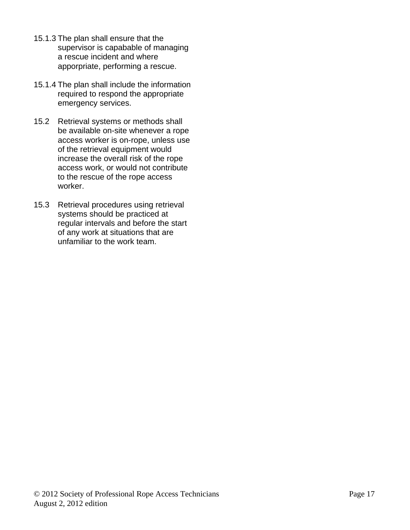- 15.1.3 The plan shall ensure that the supervisor is capabable of managing a rescue incident and where apporpriate, performing a rescue.
- 15.1.4 The plan shall include the information required to respond the appropriate emergency services.
- 15.2 Retrieval systems or methods shall be available on-site whenever a rope access worker is on-rope, unless use of the retrieval equipment would increase the overall risk of the rope access work, or would not contribute to the rescue of the rope access worker.
- 15.3 Retrieval procedures using retrieval systems should be practiced at regular intervals and before the start of any work at situations that are unfamiliar to the work team.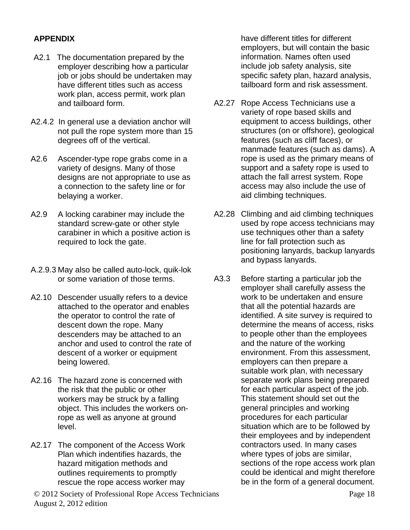#### **APPENDIX**

- A2.1 The documentation prepared by the employer describing how a particular job or jobs should be undertaken may have different titles such as access work plan, access permit, work plan and tailboard form.
- A2.4.2 In general use a deviation anchor will not pull the rope system more than 15 degrees off of the vertical.
- A2.6 Ascender-type rope grabs come in a variety of designs. Many of those designs are not appropriate to use as a connection to the safety line or for belaying a worker.
- A2.9 A locking carabiner may include the standard screw-gate or other style carabiner in which a positive action is required to lock the gate.
- A.2.9.3 May also be called auto-lock, quik-lok or some variation of those terms.
- A2.10 Descender usually refers to a device attached to the operator and enables the operator to control the rate of descent down the rope. Many descenders may be attached to an anchor and used to control the rate of descent of a worker or equipment being lowered.
- A2.16 The hazard zone is concerned with the risk that the public or other workers may be struck by a falling object. This includes the workers onrope as well as anyone at ground level.
- A2.17 The component of the Access Work Plan which indentifies hazards, the hazard mitigation methods and outlines requirements to promptly rescue the rope access worker may

© 2012 Society of Professional Rope Access Technicians Page 18 August 2, 2012 edition

have different titles for different employers, but will contain the basic information. Names often used include job safety analysis, site specific safety plan, hazard analysis, tailboard form and risk assessment.

- A2.27 Rope Access Technicians use a variety of rope based skills and equipment to access buildings, other structures (on or offshore), geological features (such as cliff faces), or manmade features (such as dams). A rope is used as the primary means of support and a safety rope is used to attach the fall arrest system. Rope access may also include the use of aid climbing techniques.
- A2.28 Climbing and aid climbing techniques used by rope access technicians may use techniques other than a safety line for fall protection such as positioning lanyards, backup lanyards and bypass lanyards.
- A3.3 Before starting a particular job the employer shall carefully assess the work to be undertaken and ensure that all the potential hazards are identified. A site survey is required to determine the means of access, risks to people other than the employees and the nature of the working environment. From this assessment, employers can then prepare a suitable work plan, with necessary separate work plans being prepared for each particular aspect of the job. This statement should set out the general principles and working procedures for each particular situation which are to be followed by their employees and by independent contractors used. In many cases where types of jobs are similar, sections of the rope access work plan could be identical and might therefore be in the form of a general document.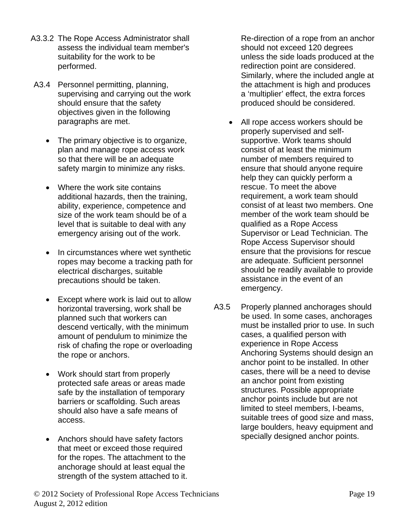- A3.3.2 The Rope Access Administrator shall assess the individual team member's suitability for the work to be performed.
- A3.4 Personnel permitting, planning, supervising and carrying out the work should ensure that the safety objectives given in the following paragraphs are met.
	- The primary objective is to organize, plan and manage rope access work so that there will be an adequate safety margin to minimize any risks.
	- Where the work site contains additional hazards, then the training, ability, experience, competence and size of the work team should be of a level that is suitable to deal with any emergency arising out of the work.
	- In circumstances where wet synthetic ropes may become a tracking path for electrical discharges, suitable precautions should be taken.
	- Except where work is laid out to allow horizontal traversing, work shall be planned such that workers can descend vertically, with the minimum amount of pendulum to minimize the risk of chafing the rope or overloading the rope or anchors.
	- Work should start from properly protected safe areas or areas made safe by the installation of temporary barriers or scaffolding. Such areas should also have a safe means of access.
	- Anchors should have safety factors that meet or exceed those required for the ropes. The attachment to the anchorage should at least equal the strength of the system attached to it.

Re-direction of a rope from an anchor should not exceed 120 degrees unless the side loads produced at the redirection point are considered. Similarly, where the included angle at the attachment is high and produces a 'multiplier' effect, the extra forces produced should be considered.

- All rope access workers should be properly supervised and selfsupportive. Work teams should consist of at least the minimum number of members required to ensure that should anyone require help they can quickly perform a rescue. To meet the above requirement, a work team should consist of at least two members. One member of the work team should be qualified as a Rope Access Supervisor or Lead Technician. The Rope Access Supervisor should ensure that the provisions for rescue are adequate. Sufficient personnel should be readily available to provide assistance in the event of an emergency.
- A3.5 Properly planned anchorages should be used. In some cases, anchorages must be installed prior to use. In such cases, a qualified person with experience in Rope Access Anchoring Systems should design an anchor point to be installed. In other cases, there will be a need to devise an anchor point from existing structures. Possible appropriate anchor points include but are not limited to steel members, I-beams, suitable trees of good size and mass, large boulders, heavy equipment and specially designed anchor points.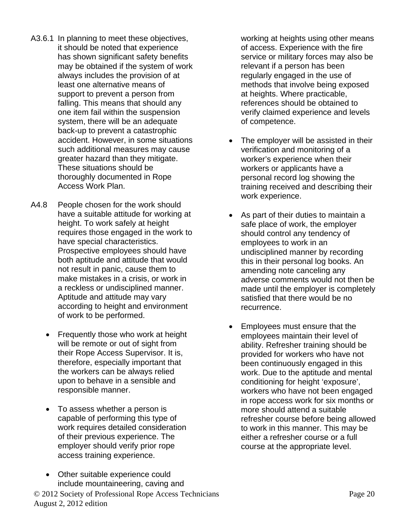- A3.6.1 In planning to meet these objectives, it should be noted that experience has shown significant safety benefits may be obtained if the system of work always includes the provision of at least one alternative means of support to prevent a person from falling. This means that should any one item fail within the suspension system, there will be an adequate back-up to prevent a catastrophic accident. However, in some situations such additional measures may cause greater hazard than they mitigate. These situations should be thoroughly documented in Rope Access Work Plan.
- A4.8 People chosen for the work should have a suitable attitude for working at height. To work safely at height requires those engaged in the work to have special characteristics. Prospective employees should have both aptitude and attitude that would not result in panic, cause them to make mistakes in a crisis, or work in a reckless or undisciplined manner. Aptitude and attitude may vary according to height and environment of work to be performed.
	- Frequently those who work at height will be remote or out of sight from their Rope Access Supervisor. It is, therefore, especially important that the workers can be always relied upon to behave in a sensible and responsible manner.
	- To assess whether a person is capable of performing this type of work requires detailed consideration of their previous experience. The employer should verify prior rope access training experience.
	- Other suitable experience could include mountaineering, caving and

working at heights using other means of access. Experience with the fire service or military forces may also be relevant if a person has been regularly engaged in the use of methods that involve being exposed at heights. Where practicable, references should be obtained to verify claimed experience and levels of competence.

- The employer will be assisted in their verification and monitoring of a worker's experience when their workers or applicants have a personal record log showing the training received and describing their work experience.
- As part of their duties to maintain a safe place of work, the employer should control any tendency of employees to work in an undisciplined manner by recording this in their personal log books. An amending note canceling any adverse comments would not then be made until the employer is completely satisfied that there would be no recurrence.
- Employees must ensure that the employees maintain their level of ability. Refresher training should be provided for workers who have not been continuously engaged in this work. Due to the aptitude and mental conditioning for height 'exposure', workers who have not been engaged in rope access work for six months or more should attend a suitable refresher course before being allowed to work in this manner. This may be either a refresher course or a full course at the appropriate level.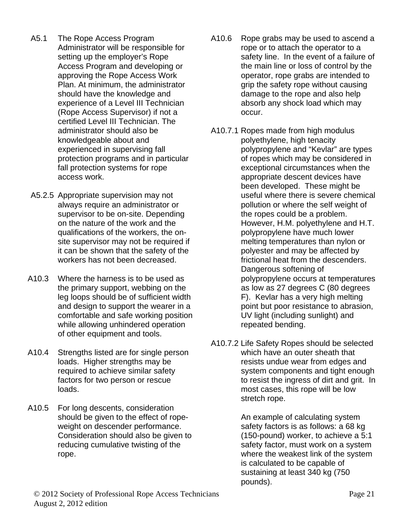- A5.1 The Rope Access Program Administrator will be responsible for setting up the employer's Rope Access Program and developing or approving the Rope Access Work Plan. At minimum, the administrator should have the knowledge and experience of a Level III Technician (Rope Access Supervisor) if not a certified Level III Technician. The administrator should also be knowledgeable about and experienced in supervising fall protection programs and in particular fall protection systems for rope access work.
- A5.2.5 Appropriate supervision may not always require an administrator or supervisor to be on-site. Depending on the nature of the work and the qualifications of the workers, the onsite supervisor may not be required if it can be shown that the safety of the workers has not been decreased.
- A10.3 Where the harness is to be used as the primary support, webbing on the leg loops should be of sufficient width and design to support the wearer in a comfortable and safe working position while allowing unhindered operation of other equipment and tools.
- A10.4 Strengths listed are for single person loads. Higher strengths may be required to achieve similar safety factors for two person or rescue loads.
- A10.5 For long descents, consideration should be given to the effect of ropeweight on descender performance. Consideration should also be given to reducing cumulative twisting of the rope.
- A10.6 Rope grabs may be used to ascend a rope or to attach the operator to a safety line. In the event of a failure of the main line or loss of control by the operator, rope grabs are intended to grip the safety rope without causing damage to the rope and also help absorb any shock load which may occur.
- A10.7.1 Ropes made from high modulus polyethylene, high tenacity polypropylene and "Kevlar" are types of ropes which may be considered in exceptional circumstances when the appropriate descent devices have been developed. These might be useful where there is severe chemical pollution or where the self weight of the ropes could be a problem. However, H.M. polyethylene and H.T. polypropylene have much lower melting temperatures than nylon or polyester and may be affected by frictional heat from the descenders. Dangerous softening of polypropylene occurs at temperatures as low as 27 degrees C (80 degrees F). Kevlar has a very high melting point but poor resistance to abrasion, UV light (including sunlight) and repeated bending.
- A10.7.2 Life Safety Ropes should be selected which have an outer sheath that resists undue wear from edges and system components and tight enough to resist the ingress of dirt and grit. In most cases, this rope will be low stretch rope.

An example of calculating system safety factors is as follows: a 68 kg (150-pound) worker, to achieve a 5:1 safety factor, must work on a system where the weakest link of the system is calculated to be capable of sustaining at least 340 kg (750 pounds).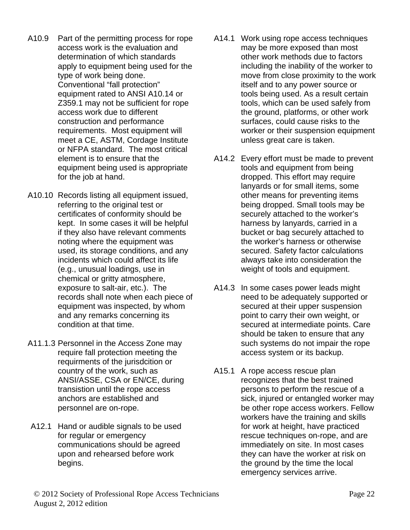- A10.9 Part of the permitting process for rope access work is the evaluation and determination of which standards apply to equipment being used for the type of work being done. Conventional "fall protection" equipment rated to ANSI A10.14 or Z359.1 may not be sufficient for rope access work due to different construction and performance requirements. Most equipment will meet a CE, ASTM, Cordage Institute or NFPA standard. The most critical element is to ensure that the equipment being used is appropriate for the job at hand.
- A10.10 Records listing all equipment issued, referring to the original test or certificates of conformity should be kept. In some cases it will be helpful if they also have relevant comments noting where the equipment was used, its storage conditions, and any incidents which could affect its life (e.g., unusual loadings, use in chemical or gritty atmosphere, exposure to salt-air, etc.). The records shall note when each piece of equipment was inspected, by whom and any remarks concerning its condition at that time.
- A11.1.3 Personnel in the Access Zone may require fall protection meeting the requirments of the jurisdcition or country of the work, such as ANSI/ASSE, CSA or EN/CE, during transistion until the rope access anchors are established and personnel are on-rope.
- A12.1 Hand or audible signals to be used for regular or emergency communications should be agreed upon and rehearsed before work begins.
- A14.1 Work using rope access techniques may be more exposed than most other work methods due to factors including the inability of the worker to move from close proximity to the work itself and to any power source or tools being used. As a result certain tools, which can be used safely from the ground, platforms, or other work surfaces, could cause risks to the worker or their suspension equipment unless great care is taken.
- A14.2 Every effort must be made to prevent tools and equipment from being dropped. This effort may require lanyards or for small items, some other means for preventing items being dropped. Small tools may be securely attached to the worker's harness by lanyards, carried in a bucket or bag securely attached to the worker's harness or otherwise secured. Safety factor calculations always take into consideration the weight of tools and equipment.
- A14.3 In some cases power leads might need to be adequately supported or secured at their upper suspension point to carry their own weight, or secured at intermediate points. Care should be taken to ensure that any such systems do not impair the rope access system or its backup.
- A15.1 A rope access rescue plan recognizes that the best trained persons to perform the rescue of a sick, injured or entangled worker may be other rope access workers. Fellow workers have the training and skills for work at height, have practiced rescue techniques on-rope, and are immediately on site. In most cases they can have the worker at risk on the ground by the time the local emergency services arrive.